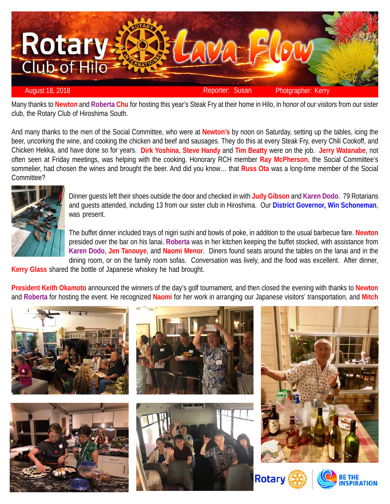

Many thanks to **Newton** and **Roberta Chu** for hosting this year's Steak Fry at their home in Hilo, in honor of our visitors from our sister club, the Rotary Club of Hiroshima South.

And many thanks to the men of the Social Committee, who were at **Newton's** by noon on Saturday, setting up the tables, icing the beer, uncorking the wine, and cooking the chicken and beef and sausages. They do this at every Steak Fry, every Chili Cookoff, and Chicken Hekka, and have done so for years. **Dirk Yoshina**, **Steve Handy** and **Tim Beatty** were on the job. **Jerry Watanabe**, not often seen at Friday meetings, was helping with the cooking. Honorary RCH member **Ray McPherson**, the Social Committee's sommelier, had chosen the wines and brought the beer. And did you know… that **Russ Ota** was a long-time member of the Social Committee?



Dinner guests left their shoes outside the door and checked in with **Judy Gibson** and **Karen Dodo**. 79 Rotarians and guests attended, including 13 from our sister club in Hiroshima. Our **District Governor, Win Schoneman**, was present.

The buffet dinner included trays of nigiri sushi and bowls of poke, in addition to the usual barbecue fare. **Newton** presided over the bar on his lanai. **Roberta** was in her kitchen keeping the buffet stocked, with assistance from **Karen Dodo**, **Jen Tanouye**, and **Naomi Menor**. Diners found seats around the tables on the lanai and in the dining room, or on the family room sofas. Conversation was lively, and the food was excellent. After dinner,

**Kerry Glass** shared the bottle of Japanese whiskey he had brought.

**President Keith Okamoto** announced the winners of the day's golf tournament, and then closed the evening with thanks to **Newton** and **Roberta** for hosting the event. He recognized **Naomi** for her work in arranging our Japanese visitors' transportation, and **Mitch**

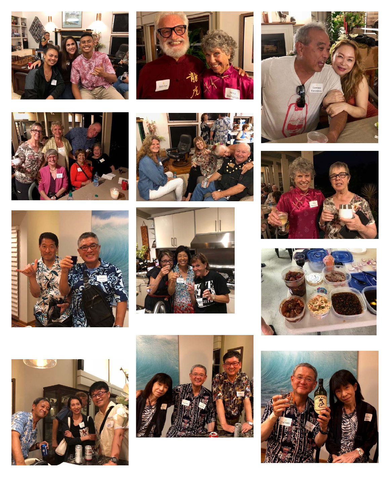